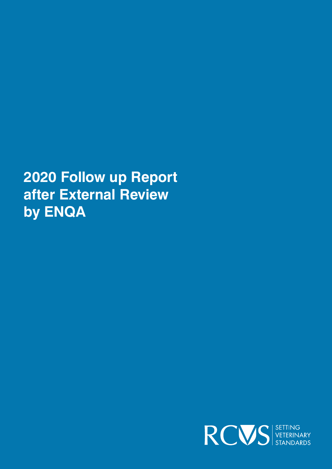**2020 Follow up Report after External Review by ENQA**

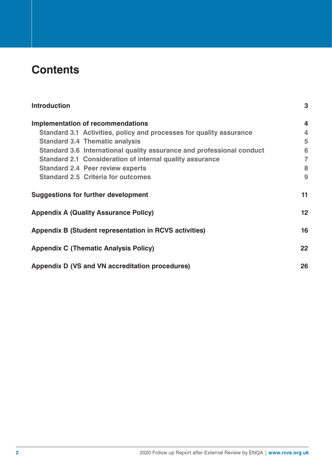# **Contents**

| <b>Introduction</b>                                                   | 3              |
|-----------------------------------------------------------------------|----------------|
| <b>Implementation of recommendations</b>                              | $\overline{4}$ |
| Standard 3.1 Activities, policy and processes for quality assurance   | 4              |
| <b>Standard 3.4 Thematic analysis</b>                                 | 5              |
| Standard 3.6 International quality assurance and professional conduct | 6              |
| <b>Standard 2.1 Consideration of internal quality assurance</b>       | $\overline{7}$ |
| <b>Standard 2.4 Peer review experts</b>                               | 8              |
| <b>Standard 2.5 Criteria for outcomes</b>                             | 9              |
| <b>Suggestions for further development</b>                            | 11             |
| <b>Appendix A (Quality Assurance Policy)</b>                          | 12             |
| Appendix B (Student representation in RCVS activities)                | 16             |
| <b>Appendix C (Thematic Analysis Policy)</b>                          | 22             |
| Appendix D (VS and VN accreditation procedures)                       | 26             |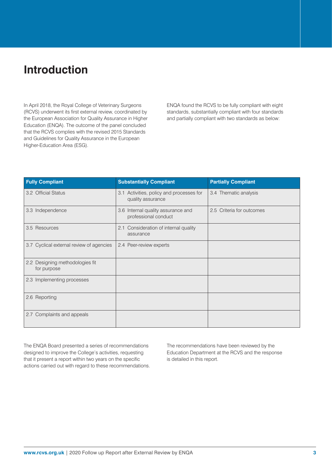# **Introduction**

In April 2018, the Royal College of Veterinary Surgeons (RCVS) underwent its first external review, coordinated by the European Association for Quality Assurance in Higher Education (ENQA). The outcome of the panel concluded that the RCVS complies with the revised 2015 Standards and Guidelines for Quality Assurance in the European Higher-Education Area (ESG).

ENQA found the RCVS to be fully compliant with eight standards, substantially compliant with four standards and partially compliant with two standards as below:

| <b>Fully Compliant</b>                         | <b>Substantially Compliant</b>                                | <b>Partially Compliant</b> |
|------------------------------------------------|---------------------------------------------------------------|----------------------------|
| 3.2 Official Status                            | 3.1 Activities, policy and processes for<br>quality assurance | 3.4 Thematic analysis      |
| 3.3 Independence                               | 3.6 Internal quality assurance and<br>professional conduct    | 2.5 Criteria for outcomes  |
| 3.5 Resources                                  | Consideration of internal quality<br>2.1<br>assurance         |                            |
| 3.7 Cyclical external review of agencies       | 2.4 Peer-review experts                                       |                            |
| 2.2 Designing methodologies fit<br>for purpose |                                                               |                            |
| 2.3 Implementing processes                     |                                                               |                            |
| 2.6 Reporting                                  |                                                               |                            |
| 2.7 Complaints and appeals                     |                                                               |                            |

The ENQA Board presented a series of recommendations designed to improve the College's activities, requesting that it present a report within two years on the specific actions carried out with regard to these recommendations. The recommendations have been reviewed by the Education Department at the RCVS and the response is detailed in this report.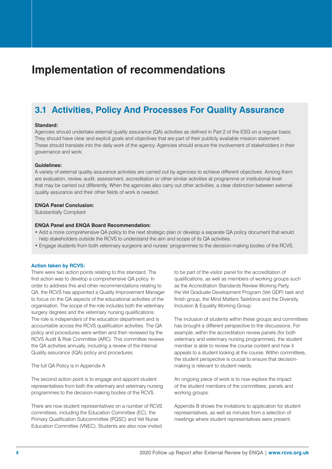# **Implementation of recommendations**

# **3.1 Activities, Policy And Processes For Quality Assurance**

### **Standard:**

Agencies should undertake external quality assurance (QA) activities as defined in Part 2 of the ESG on a regular basis. They should have clear and explicit goals and objectives that are part of their publicly available mission statement. These should translate into the daily work of the agency. Agencies should ensure the involvement of stakeholders in their governance and work.

### **Guidelines:**

A variety of external quality assurance activities are carried out by agencies to achieve different objectives. Among them are evaluation, review, audit, assessment, accreditation or other similar activities at programme or institutional level that may be carried out differently. When the agencies also carry out other activities, a clear distinction between external quality assurance and their other fields of work is needed.

### **ENQA Panel Conclusion:**

Substantially Compliant

## **ENQA Panel and ENQA Board Recommendation:**

- Add a more comprehensive QA policy to the next strategic plan or develop a separate QA policy document that would help stakeholders outside the RCVS to understand the aim and scope of its QA activities.
- Engage students from both veterinary surgeons and nurses' programmes to the decision-making bodies of the RCVS.

### **Action taken by RCVS:**

There were two action points relating to this standard. The first action was to develop a comprehensive QA policy. In order to address this and other recommendations relating to QA, the RCVS has appointed a Quality Improvement Manager to focus on the QA aspects of the educational activities of the organisation. The scope of the role includes both the veterinary surgery degrees and the veterinary nursing qualifications. The role is independent of the education department and is accountable across the RCVS qualification activities. The QA policy and procedures were written and then reviewed by the RCVS Audit & Risk Committee (ARC). This committee reviews the QA activities annually, including a review of the Internal Quality assurance (IQA) policy and procedures.

### The full QA Policy is in Appendix A

The second action point is to engage and appoint student representatives from both the veterinary and veterinary nursing programmes to the decision-making bodies of the RCVS.

There are now student representatives on a number of RCVS committees, including the Education Committee (EC), the Primary Qualification Subcommittee (PQSC) and Vet Nurse Education Committee (VNEC). Students are also now invited

to be part of the visitor panel for the accreditation of qualifications, as well as members of working groups such as the Accreditation Standards Review Working Party, the Vet Graduate Development Program (Vet GDP) task and finish group, the Mind Matters Taskforce and the Diversity, Inclusion & Equality Working Group.

The inclusion of students within these groups and committees has brought a different perspective to the discussions. For example, within the accreditation review panels (for both veterinary and veterinary nursing programmes), the student member is able to review the course content and how it appeals to a student looking at the course. Within committees, the student perspective is crucial to ensure that decisionmaking is relevant to student needs.

An ongoing piece of work is to now explore the impact of the student members of the committees, panels and working groups.

Appendix B shows the invitations to application for student representatives, as well as minutes from a selection of meetings where student representatives were present.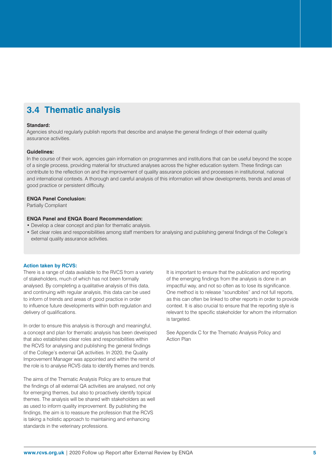# **3.4 Thematic analysis**

### **Standard:**

Agencies should regularly publish reports that describe and analyse the general findings of their external quality assurance activities.

### **Guidelines:**

In the course of their work, agencies gain information on programmes and institutions that can be useful beyond the scope of a single process, providing material for structured analyses across the higher education system. These findings can contribute to the reflection on and the improvement of quality assurance policies and processes in institutional, national and international contexts. A thorough and careful analysis of this information will show developments, trends and areas of good practice or persistent difficulty.

### **ENQA Panel Conclusion:**

Partially Compliant

### **ENQA Panel and ENQA Board Recommendation:**

- Develop a clear concept and plan for thematic analysis.
- Set clear roles and responsibilities among staff members for analysing and publishing general findings of the College's external quality assurance activities.

### **Action taken by RCVS:**

There is a range of data available to the RVCS from a variety of stakeholders, much of which has not been formally analysed. By completing a qualitative analysis of this data, and continuing with regular analysis, this data can be used to inform of trends and areas of good practice in order to influence future developments within both regulation and delivery of qualifications.

In order to ensure this analysis is thorough and meaningful, a concept and plan for thematic analysis has been developed that also establishes clear roles and responsibilities within the RCVS for analysing and publishing the general findings of the College's external QA activities. In 2020, the Quality Improvement Manager was appointed and within the remit of the role is to analyse RCVS data to identify themes and trends.

The aims of the Thematic Analysis Policy are to ensure that the findings of all external QA activities are analysed, not only for emerging themes, but also to proactively identify topical themes. The analysis will be shared with stakeholders as well as used to inform quality improvement. By publishing the findings, the aim is to reassure the profession that the RCVS is taking a holistic approach to maintaining and enhancing standards in the veterinary professions.

It is important to ensure that the publication and reporting of the emerging findings from the analysis is done in an impactful way, and not so often as to lose its significance. One method is to release "soundbites" and not full reports, as this can often be linked to other reports in order to provide context. It is also crucial to ensure that the reporting style is relevant to the specific stakeholder for whom the information is targeted.

See Appendix C for the Thematic Analysis Policy and Action Plan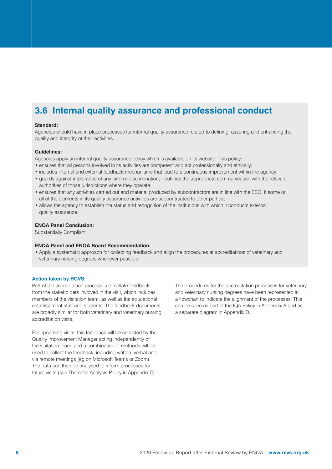# **3.6 Internal quality assurance and professional conduct**

### **Standard:**

Agencies should have in place processes for internal quality assurance related to defining, assuring and enhancing the quality and integrity of their activities.

### **Guidelines:**

Agencies apply an internal quality assurance policy which is available on its website. This policy:

- ensures that all persons involved in its activities are competent and act professionally and ethically;
- includes internal and external feedback mechanisms that lead to a continuous improvement within the agency;
- guards against intolerance of any kind or discrimination; outlines the appropriate communication with the relevant authorities of those jurisdictions where they operate;
- ensures that any activities carried out and material produced by subcontractors are in line with the ESG, if some or all of the elements in its quality assurance activities are subcontracted to other parties;
- allows the agency to establish the status and recognition of the institutions with which it conducts external quality assurance.

### **ENQA Panel Conclusion:**

Substantially Compliant

#### **ENQA Panel and ENQA Board Recommendation:**

• Apply a systematic approach for collecting feedback and align the procedures at accreditations of veterinary and veterinary nursing degrees whenever possible.

### **Action taken by RCVS:**

Part of the accreditation process is to collate feedback from the stakeholders involved in the visit, which includes members of the visitation team, as well as the educational establishment staff and students. The feedback documents are broadly similar for both veterinary and veterinary nursing accreditation visits.

For upcoming visits, this feedback will be collected by the Quality Improvement Manager acting independently of the visitation team, and a combination of methods will be used to collect the feedback, including written, verbal and via remote meetings (eg on Microsoft Teams or Zoom). The data can then be analysed to inform processes for future visits (see Thematic Analysis Policy in Appendix C)

The procedures for the accreditation processes for veterinary and veterinary nursing degrees have been represented in a flowchart to indicate the alignment of the processes. This can be seen as part of the IQA Policy in Appendix A and as a separate diagram in Appendix D.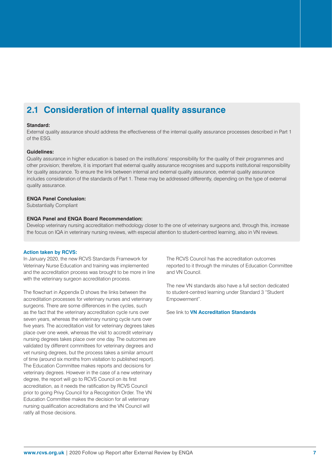# **2.1 Consideration of internal quality assurance**

#### **Standard:**

External quality assurance should address the effectiveness of the internal quality assurance processes described in Part 1 of the ESG.

#### **Guidelines:**

Quality assurance in higher education is based on the institutions' responsibility for the quality of their programmes and other provision; therefore, it is important that external quality assurance recognises and supports institutional responsibility for quality assurance. To ensure the link between internal and external quality assurance, external quality assurance includes consideration of the standards of Part 1. These may be addressed differently, depending on the type of external quality assurance.

### **ENQA Panel Conclusion:**

Substantially Compliant

### **ENQA Panel and ENQA Board Recommendation:**

Develop veterinary nursing accreditation methodology closer to the one of veterinary surgeons and, through this, increase the focus on IQA in veterinary nursing reviews, with especial attention to student-centred learning, also in VN reviews.

### **Action taken by RCVS:**

In January 2020, the new RCVS Standards Framework for Veterinary Nurse Education and training was implemented and the accreditation process was brought to be more in line with the veterinary surgeon accreditation process.

The flowchart in Appendix D shows the links between the accreditation processes for veterinary nurses and veterinary surgeons. There are some differences in the cycles, such as the fact that the veterinary accreditation cycle runs over seven years, whereas the veterinary nursing cycle runs over five years. The accreditation visit for veterinary degrees takes place over one week, whereas the visit to accredit veterinary nursing degrees takes place over one day. The outcomes are validated by different committees for veterinary degrees and vet nursing degrees, but the process takes a similar amount of time (around six months from visitation to published report). The Education Committee makes reports and decisions for veterinary degrees. However in the case of a new veterinary degree, the report will go to RCVS Council on its first accreditation, as it needs the ratification by RCVS Council prior to going Privy Council for a Recognition Order. The VN Education Committee makes the decision for all veterinary nursing qualification accreditations and the VN Council will ratify all those decisions.

The RCVS Council has the accreditation outcomes reported to it through the minutes of Education Committee and VN Council.

The new VN standards also have a full section dedicated to student-centred learning under Standard 3 "Student Empowerment".

See link to **[VN Accreditation Standards](https://www.rcvs.org.uk/news-and-views/publications/rcvs-standards-framework-for-veterinary-nurse-education-and/)**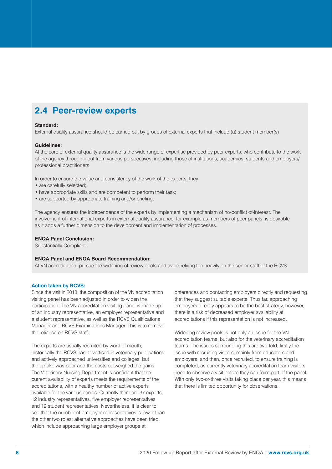# **2.4 Peer-review experts**

### **Standard:**

External quality assurance should be carried out by groups of external experts that include (a) student member(s)

### **Guidelines:**

At the core of external quality assurance is the wide range of expertise provided by peer experts, who contribute to the work of the agency through input from various perspectives, including those of institutions, academics, students and employers/ professional practitioners.

In order to ensure the value and consistency of the work of the experts, they

- are carefully selected;
- have appropriate skills and are competent to perform their task;
- are supported by appropriate training and/or briefing.

The agency ensures the independence of the experts by implementing a mechanism of no-conflict of-interest. The involvement of international experts in external quality assurance, for example as members of peer panels, is desirable as it adds a further dimension to the development and implementation of processes.

### **ENQA Panel Conclusion:**

Substantially Compliant

## **ENQA Panel and ENQA Board Recommendation:**

At VN accreditation, pursue the widening of review pools and avoid relying too heavily on the senior staff of the RCVS.

### **Action taken by RCVS:**

Since the visit in 2018, the composition of the VN accreditation visiting panel has been adjusted in order to widen the participation. The VN accreditation visiting panel is made up of an industry representative, an employer representative and a student representative, as well as the RCVS Qualifications Manager and RCVS Examinations Manager. This is to remove the reliance on RCVS staff.

The experts are usually recruited by word of mouth; historically the RCVS has advertised in veterinary publications and actively approached universities and colleges, but the uptake was poor and the costs outweighed the gains. The Veterinary Nursing Department is confident that the current availability of experts meets the requirements of the accreditations, with a healthy number of active experts available for the various panels. Currently there are 37 experts; 12 industry representatives, five employer representatives and 12 student representatives. Nevertheless, it is clear to see that the number of employer representatives is lower than the other two roles; alternative approaches have been tried, which include approaching large employer groups at

onferences and contacting employers directly and requesting that they suggest suitable experts. Thus far, approaching employers directly appears to be the best strategy, however, there is a risk of decreased employer availability at accreditations if this representation is not increased.

Widening review pools is not only an issue for the VN accreditation teams, but also for the veterinary accreditation teams. The issues surrounding this are two-fold; firstly the issue with recruiting visitors, mainly from educators and employers, and then, once recruited, to ensure training is completed, as currently veterinary accreditation team visitors need to observe a visit before they can form part of the panel. With only two-or-three visits taking place per year, this means that there is limited opportunity for observations.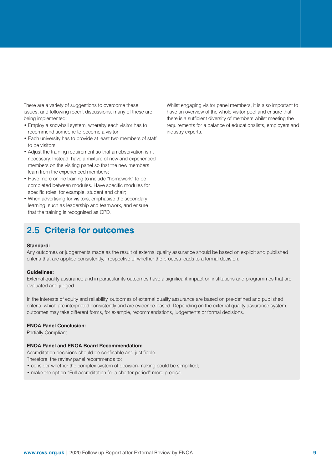There are a variety of suggestions to overcome these issues, and following recent discussions, many of these are being implemented:

- Employ a snowball system, whereby each visitor has to recommend someone to become a visitor;
- Each university has to provide at least two members of staff to be visitors;
- Adjust the training requirement so that an observation isn't necessary. Instead, have a mixture of new and experienced members on the visiting panel so that the new members learn from the experienced members;
- Have more online training to include "homework" to be completed between modules. Have specific modules for specific roles, for example, student and chair;
- When advertising for visitors, emphasise the secondary learning, such as leadership and teamwork, and ensure that the training is recognised as CPD.

Whilst engaging visitor panel members, it is also important to have an overview of the whole visitor pool and ensure that there is a sufficient diversity of members whilst meeting the requirements for a balance of educationalists, employers and industry experts.

# **2.5 Criteria for outcomes**

#### **Standard:**

Any outcomes or judgements made as the result of external quality assurance should be based on explicit and published criteria that are applied consistently, irrespective of whether the process leads to a formal decision.

### **Guidelines:**

External quality assurance and in particular its outcomes have a significant impact on institutions and programmes that are evaluated and judged.

In the interests of equity and reliability, outcomes of external quality assurance are based on pre-defined and published criteria, which are interpreted consistently and are evidence-based. Depending on the external quality assurance system, outcomes may take different forms, for example, recommendations, judgements or formal decisions.

### **ENQA Panel Conclusion:**

Partially Compliant

### **ENQA Panel and ENQA Board Recommendation:**

Accreditation decisions should be confinable and justifiable.

Therefore, the review panel recommends to:

- consider whether the complex system of decision-making could be simplified;
- make the option "Full accreditation for a shorter period" more precise.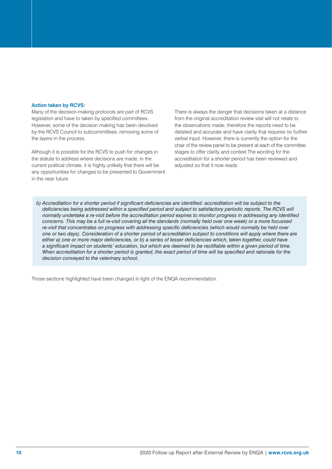### **Action taken by RCVS:**

Many of the decision-making protocols are part of RCVS legislation and have to taken by specified committees. However, some of the decision making has been devolved by the RCVS Council to subcommittees, removing some of the layers in the process.

Although it is possible for the RCVS to push for changes in the statute to address where decisions are made, in the current political climate, it is highly unlikely that there will be any opportunities for changes to be presented to Government in the near future.

There is always the danger that decisions taken at a distance from the original accreditation review visit will not relate to the observations made; therefore the reports need to be detailed and accurate and have clarity that requires no further verbal input. However, there is currently the option for the chair of the review panel to be present at each of the committee stages to offer clarity and context.The wording for the accreditation for a shorter period has been reviewed and adjusted so that it now reads:

*b) Accreditation for a shorter period if significant deficiencies are identified: accreditation will be subject to the deficiencies being addressed within a specified period and subject to satisfactory periodic reports. The RCVS will normally undertake a re-visit before the accreditation period expires to monitor progress in addressing any identified concerns. This may be a full re-visit covering all the standards (normally held over one week) or a more focussed re-visit that concentrates on progress with addressing specific deficiencies (which would normally be held over one or two days). Consideration of a shorter period of accreditation subject to conditions will apply where there are either a) one or more major deficiencies, or b) a series of lesser deficiencies which, taken together, could have a significant impact on students' education, but which are deemed to be rectifiable within a given period of time. When accreditation for a shorter period is granted, the exact period of time will be specified and rationale for the decision conveyed to the veterinary school.*

Those sections highlighted have been changed in light of the ENQA recommendation.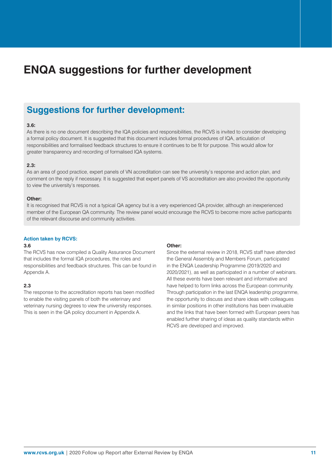# **ENQA suggestions for further development**

# **Suggestions for further development:**

### **3.6:**

As there is no one document describing the IQA policies and responsibilities, the RCVS is invited to consider developing a formal policy document. It is suggested that this document includes formal procedures of IQA, articulation of responsibilities and formalised feedback structures to ensure it continues to be fit for purpose. This would allow for greater transparency and recording of formalised IQA systems.

### **2.3:**

As an area of good practice, expert panels of VN accreditation can see the university's response and action plan, and comment on the reply if necessary. It is suggested that expert panels of VS accreditation are also provided the opportunity to view the university's responses.

### **Other:**

It is recognised that RCVS is not a typical QA agency but is a very experienced QA provider, although an inexperienced member of the European QA community. The review panel would encourage the RCVS to become more active participants of the relevant discourse and community activities.

### **Action taken by RCVS:**

### **3.6**

The RCVS has now compiled a Quality Assurance Document that includes the formal IQA procedures, the roles and responsibilities and feedback structures. This can be found in Appendix A.

### **2.3**

The response to the accreditation reports has been modified to enable the visiting panels of both the veterinary and veterinary nursing degrees to view the university responses. This is seen in the QA policy document in Appendix A.

### **Other:**

Since the external review in 2018, RCVS staff have attended the General Assembly and Members Forum, participated in the ENQA Leadership Programme (2019/2020 and 2020/2021), as well as participated in a number of webinars. All these events have been relevant and informative and have helped to form links across the European community. Through participation in the last ENQA leadership programme, the opportunity to discuss and share ideas with colleagues in similar positions in other institutions has been invaluable and the links that have been formed with European peers has enabled further sharing of ideas as quality standards within RCVS are developed and improved.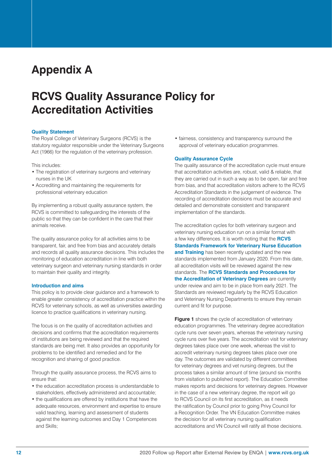# **Appendix A**

# **RCVS Quality Assurance Policy for Accreditation Activities**

### **Quality Statement**

The Royal College of Veterinary Surgeons (RCVS) is the statutory regulator responsible under the Veterinary Surgeons Act (1966) for the regulation of the veterinary profession.

This includes:

- The registration of veterinary surgeons and veterinary nurses in the UK
- Accrediting and maintaining the requirements for professional veterinary education

By implementing a robust quality assurance system, the RCVS is committed to safeguarding the interests of the public so that they can be confident in the care that their animals receive.

The quality assurance policy for all activities aims to be transparent, fair, and free from bias and accurately details and records all quality assurance decisions. This includes the monitoring of education accreditation in line with both veterinary surgeon and veterinary nursing standards in order to maintain their quality and integrity.

### **Introduction and aims**

This policy is to provide clear guidance and a framework to enable greater consistency of accreditation practice within the RCVS for veterinary schools, as well as universities awarding licence to practice qualifications in veterinary nursing.

The focus is on the quality of accreditation activities and decisions and confirms that the accreditation requirements of institutions are being reviewed and that the required standards are being met. It also provides an opportunity for problems to be identified and remedied and for the recognition and sharing of good practice.

Through the quality assurance process, the RCVS aims to ensure that:

- the education accreditation process is understandable to stakeholders, effectively administered and accountable;
- the qualifications are offered by institutions that have the adequate resources, environment and expertise to ensure valid teaching, learning and assessment of students against the learning outcomes and Day 1 Competences and Skills;

• fairness, consistency and transparency surround the approval of veterinary education programmes.

### **Quality Assurance Cycle**

The quality assurance of the accreditation cycle must ensure that accreditation activities are, robust, valid & reliable, that they are carried out in such a way as to be open, fair and free from bias, and that accreditation visitors adhere to the RCVS Accreditation Standards in the judgement of evidence. The recording of accreditation decisions must be accurate and detailed and demonstrate consistent and transparent implementation of the standards.

The accreditation cycles for both veterinary surgeon and veterinary nursing education run on a similar format with a few key differences. It is worth noting that the **[RCVS](https://www.rcvs.org.uk/news-and-views/publications/rcvs-standards-framework-for-veterinary-nurse-education-and/)  [Standards Framework for Veterinary Nurse Education](https://www.rcvs.org.uk/news-and-views/publications/rcvs-standards-framework-for-veterinary-nurse-education-and/)  [and Training](https://www.rcvs.org.uk/news-and-views/publications/rcvs-standards-framework-for-veterinary-nurse-education-and/)** has been recently updated and the new standards implemented from January 2020. From this date, all accreditation visits will be reviewed against the new standards. The **RCVS Standards and Procedures for the Accreditation of Veterinary Degrees** are currently under review and aim to be in place from early 2021. The Standards are reviewed regularly by the RCVS Education and Veterinary Nursing Departments to ensure they remain current and fit for purpose.

**Figure 1** shows the cycle of accreditation of veterinary education programmes. The veterinary degree accreditation cycle runs over seven years, whereas the veterinary nursing cycle runs over five years. The accreditation visit for veterinary degrees takes place over one week, whereas the visit to accredit veterinary nursing degrees takes place over one day. The outcomes are validated by different committees for veterinary degrees and vet nursing degrees, but the process takes a similar amount of time (around six months from visitation to published report). The Education Committee makes reports and decisions for veterinary degrees. However in the case of a new veterinary degree, the report will go to RCVS Council on its first accreditation, as it needs the ratification by Council prior to going Privy Council for a Recognition Order. The VN Education Committee makes the decision for all veterinary nursing qualification accreditations and VN Council will ratify all those decisions.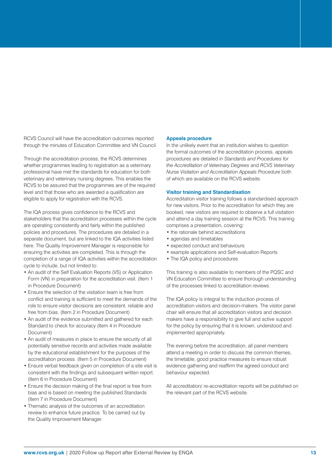RCVS Council will have the accreditation outcomes reported through the minutes of Education Committee and VN Council.

Through the accreditation process, the RCVS determines whether programmes leading to registration as a veterinary professional have met the standards for education for both veterinary and veterinary nursing degrees. This enables the RCVS to be assured that the programmes are of the required level and that those who are awarded a qualification are eligible to apply for registration with the RCVS.

The IQA process gives confidence to the RCVS and stakeholders that the accreditation processes within the cycle are operating consistently and fairly within the published policies and procedures. The procedures are detailed in a separate document, but are linked to the IQA activities listed here. The Quality Improvement Manager is responsible for ensuring the activities are completed. This is through the completion of a range of IQA activities within the accreditation cycle to include, but not limited to:

- An audit of the Self Evaluation Reports (VS) or Application Form (VN) in preparation for the accreditation visit. (Item 1 in Procedure Document)
- Ensure the selection of the visitation team is free from conflict and training is sufficient to meet the demands of the role to ensure visitor decisions are consistent, reliable and free from bias. (Item 2 in Procedure Document)
- An audit of the evidence submitted and gathered for each Standard to check for accuracy (Item 4 in Procedure Document)
- An audit of measures in place to ensure the security of all potentially sensitive records and activities made available by the educational establishment for the purposes of the accreditation process. (Item 5 in Procedure Document)
- Ensure verbal feedback given on completion of a site visit is consistent with the findings and subsequent written report. (Item 6 in Procedure Document)
- Ensure the decision making of the final report is free from bias and is based on meeting the published Standards (Item 7 in Procedure Document)
- Thematic analysis of the outcomes of an accreditation review to enhance future practice. To be carried out by the Quality Improvement Manager.

### **Appeals procedure**

In the unlikely event that an institution wishes to question the formal outcomes of the accreditation process, appeals procedures are detailed in *Standards and Procedures for the Accreditation of Veterinary Degrees* and *RCVS Veterinary Nurse Visitation and Accreditation Appeals Procedure* both of which are available on the RCVS website.

#### **Visitor training and Standardisation**

Accreditation visitor training follows a standardised approach for new visitors. Prior to the accreditation for which they are booked, new visitors are required to observe a full visitation and attend a day training session at the RCVS. This training comprises a presentation, covering:

- the rationale behind accreditations
- agendas and timetables
- expected conduct and behaviours
- example applications and Self-evaluation Reports
- The IQA policy and procedures

This training is also available to members of the PQSC and VN Education Committee to ensure thorough understanding of the processes linked to accreditation reviews.

The IQA policy is integral to the induction process of accreditation visitors and decision-makers. The visitor panel chair will ensure that all accreditation visitors and decision makers have a responsibility to give full and active support for the policy by ensuring that it is known, understood and implemented appropriately.

The evening before the accreditation, all panel members attend a meeting in order to discuss the common themes, the timetable, good practice measures to ensure robust evidence gathering and reaffirm the agreed conduct and behaviour expected.

All accreditation/ re-accreditation reports will be published on the relevant part of the RCVS website.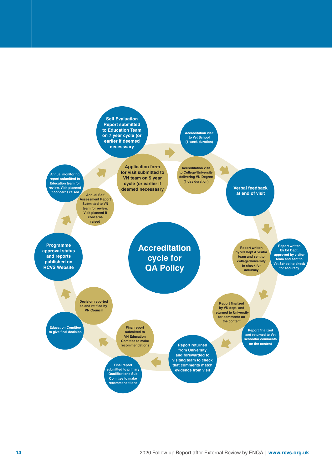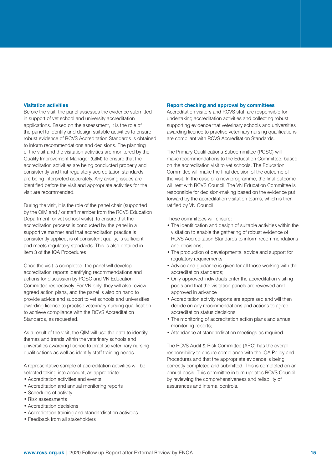### **Visitation activities**

Before the visit, the panel assesses the evidence submitted in support of vet school and university accreditation applications. Based on the assessment, it is the role of the panel to identify and design suitable activities to ensure robust evidence of RCVS Accreditation Standards is obtained to inform recommendations and decisions. The planning of the visit and the visitation activities are monitored by the Quality Improvement Manager (QIM) to ensure that the accreditation activities are being conducted properly and consistently and that regulatory accreditation standards are being interpreted accurately. Any arising issues are identified before the visit and appropriate activities for the visit are recommended.

During the visit, it is the role of the panel chair (supported by the QIM and / or staff member from the RCVS Education Department for vet school visits), to ensure that the accreditation process is conducted by the panel in a supportive manner and that accreditation practice is consistently applied, is of consistent quality, is sufficient and meets regulatory standards. This is also detailed in item 3 of the IQA Procedures

Once the visit is completed, the panel will develop accreditation reports identifying recommendations and actions for discussion by PQSC and VN Education Committee respectively. For VN only, they will also review agreed action plans, and the panel is also on hand to provide advice and support to vet schools and universities awarding licence to practise veterinary nursing qualification to achieve compliance with the RCVS Accreditation Standards, as requested.

As a result of the visit, the QIM will use the data to identify themes and trends within the veterinary schools and universities awarding licence to practise veterinary nursing qualifications as well as identify staff training needs.

A representative sample of accreditation activities will be selected taking into account, as appropriate:

- Accreditation activities and events
- Accreditation and annual monitoring reports
- Schedules of activity
- Risk assessments
- Accreditation decisions
- Accreditation training and standardisation activities
- Feedback from all stakeholders

#### **Report checking and approval by committees**

Accreditation visitors and RCVS staff are responsible for undertaking accreditation activities and collecting robust supporting evidence that veterinary schools and universities awarding licence to practise veterinary nursing qualifications are compliant with RCVS Accreditation Standards.

The Primary Qualifications Subcommittee (PQSC) will make recommendations to the Education Committee, based on the accreditation visit to vet schools. The Education Committee will make the final decision of the outcome of the visit. In the case of a new programme, the final outcome will rest with RCVS Council. The VN Education Committee is responsible for decision-making based on the evidence put forward by the accreditation visitation teams, which is then ratified by VN Council.

These committees will ensure:

- The identification and design of suitable activities within the visitation to enable the gathering of robust evidence of RCVS Accreditation Standards to inform recommendations and decisions;
- The production of developmental advice and support for regulatory requirements
- Advice and guidance is given for all those working with the accreditation standards;
- Only approved individuals enter the accreditation visiting pools and that the visitation panels are reviewed and approved in advance
- Accreditation activity reports are appraised and will then decide on any recommendations and actions to agree accreditation status decisions;
- The monitoring of accreditation action plans and annual monitoring reports;
- Attendance at standardisation meetings as required.

The RCVS Audit & Risk Committee (ARC) has the overall responsibility to ensure compliance with the IQA Policy and Procedures and that the appropriate evidence is being correctly completed and submitted. This is completed on an annual basis. This committee in turn updates RCVS Council by reviewing the comprehensiveness and reliability of assurances and internal controls.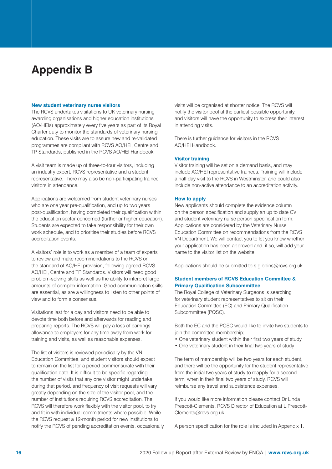# **Appendix B**

### **New student veterinary nurse visitors**

The RCVS undertakes visitations to UK veterinary nursing awarding organisations and higher education institutions (AO/HEIs) approximately every five years as part of its Royal Charter duty to monitor the standards of veterinary nursing education. These visits are to assure new and re-validated programmes are compliant with RCVS AO/HEI, Centre and TP Standards, published in the RCVS AO/HEI Handbook.

A visit team is made up of three-to-four visitors, including an industry expert, RCVS representative and a student representative. There may also be non-participating trainee visitors in attendance.

Applications are welcomed from student veterinary nurses who are one year pre-qualification, and up to two years post-qualification, having completed their qualification within the education sector concerned (further or higher education). Students are expected to take responsibility for their own work schedule, and to prioritise their studies before RCVS accreditation events.

A visitors' role is to work as a member of a team of experts to review and make recommendations to the RCVS on the standard of AO/HEI provision, following agreed RCVS AO/HEI, Centre and TP Standards. Visitors will need good problem-solving skills as well as the ability to interpret large amounts of complex information. Good communication skills are essential, as are a willingness to listen to other points of view and to form a consensus.

Visitations last for a day and visitors need to be able to devote time both before and afterwards for reading and preparing reports. The RCVS will pay a loss of earnings allowance to employers for any time away from work for training and visits, as well as reasonable expenses.

The list of visitors is reviewed periodically by the VN Education Committee, and student visitors should expect to remain on the list for a period commensurate with their qualification date. It is difficult to be specific regarding the number of visits that any one visitor might undertake during that period, and frequency of visit requests will vary greatly depending on the size of the visitor pool, and the number of institutions requiring RCVS accreditation. The RCVS will therefore work flexibly with the visitor pool, to try and fit in with individual commitments where possible. While the RCVS request a 12-month period for new institutions to notify the RCVS of pending accreditation events, occasionally visits will be organised at shorter notice. The RCVS will notify the visitor pool at the earliest possible opportunity, and visitors will have the opportunity to express their interest in attending visits.

There is further guidance for visitors in the RCVS AO/HEI Handbook.

### **Visitor training**

Visitor training will be set on a demand basis, and may include AO/HEI representative trainees. Training will include a half day visit to the RCVS in Westminster, and could also include non-active attendance to an accreditation activity.

### **How to apply**

New applicants should complete the evidence column on the person specification and supply an up to date CV and student veterinary nurse person specification form. Applications are considered by the Veterinary Nurse Education Committee on recommendations from the RCVS VN Department. We will contact you to let you know whether your application has been approved and, if so, will add your name to the visitor list on the website.

Applications should be submitted to s.gibbins@rcvs.org.uk.

## **Student members of RCVS Education Committee & Primary Qualification Subcommittee**

The Royal College of Veterinary Surgeons is searching for veterinary student representatives to sit on their Education Committee (EC) and Primary Qualification Subcommittee (PQSC).

Both the EC and the PQSC would like to invite two students to join the committee membership;

- One veterinary student within their first two years of study
- One veterinary student in their final two years of study

The term of membership will be two years for each student, and there will be the opportunity for the student representative from the initial two years of study to reapply for a second term, when in their final two years of study. RCVS will reimburse any travel and subsistence expenses.

If you would like more information please contact Dr Linda Prescott-Clements, RCVS Director of Education at L.Prescott-Clements@rcvs.org.uk.

A person specification for the role is included in Appendix 1.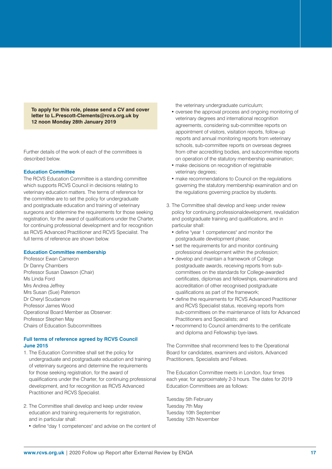**To apply for this role, please send a CV and cover letter to L.Prescott-Clements@rcvs.org.uk by 12 noon Monday 28th January 2019**

Further details of the work of each of the committees is described below.

### **Education Committee**

The RCVS Education Committee is a standing committee which supports RCVS Council in decisions relating to veterinary education matters. The terms of reference for the committee are to set the policy for undergraduate and postgraduate education and training of veterinary surgeons and determine the requirements for those seeking registration, for the award of qualifications under the Charter, for continuing professional development and for recognition as RCVS Advanced Practitioner and RCVS Specialist. The full terms of reference are shown below.

## **Education Committee membership**

Professor Ewan Cameron Dr Danny Chambers Professor Susan Dawson (Chair) Ms Linda Ford Mrs Andrea Jeffrey Mrs Susan (Sue) Paterson Dr Cheryl Scudamore Professor James Wood Operational Board Member as Observer: Professor Stephen May Chairs of Education Subcommittees

## **Full terms of reference agreed by RCVS Council June 2015**

- 1. The Education Committee shall set the policy for undergraduate and postgraduate education and training of veterinary surgeons and determine the requirements for those seeking registration, for the award of qualifications under the Charter, for continuing professional development, and for recognition as RCVS Advanced Practitioner and RCVS Specialist.
- 2. The Committee shall develop and keep under review education and training requirements for registration, and in particular shall:
	- define "day 1 competences" and advise on the content of

the veterinary undergraduate curriculum;

- oversee the approval process and ongoing monitoring of veterinary degrees and international recognition agreements, considering sub-committee reports on appointment of visitors, visitation reports, follow-up reports and annual monitoring reports from veterinary schools, sub-committee reports on overseas degrees from other accrediting bodies, and subcommittee reports on operation of the statutory membership examination;
- make decisions on recognition of registrable veterinary degrees;
- make recommendations to Council on the regulations governing the statutory membership examination and on the regulations governing practice by students.
- 3. The Committee shall develop and keep under review policy for continuing professionaldevelopment, revalidation and postgraduate training and qualifications, and in particular shall:
	- define "year 1 competences" and monitor the postgraduate development phase;
	- set the requirements for and monitor continuing professional development within the profession;
	- develop and maintain a framework of College postgraduate awards, receiving reports from subcommittees on the standards for College-awarded certificates, diplomas and fellowships, examinations and accreditation of other recognised postgraduate qualifications as part of the framework;
	- define the requirements for RCVS Advanced Practitioner and RCVS Specialist status, receiving reports from sub-committees on the maintenance of lists for Advanced Practitioners and Specialists; and
	- recommend to Council amendments to the certificate and diploma and Fellowship bye-laws.

The Committee shall recommend fees to the Operational Board for candidates, examiners and visitors, Advanced Practitioners, Specialists and Fellows.

The Education Committee meets in London, four times each year, for approximately 2-3 hours. The dates for 2019 Education Committees are as follows:

Tuesday 5th February Tuesday 7th May Tuesday 10th September Tuesday 12th November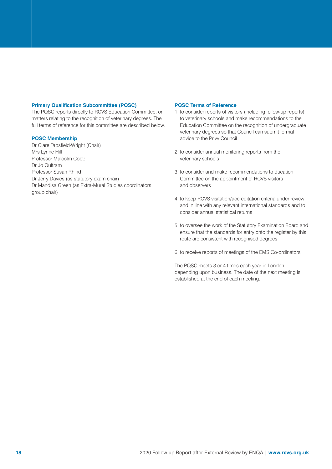### **Primary Qualification Subcommittee (PQSC)**

The PQSC reports directly to RCVS Education Committee, on matters relating to the recognition of veterinary degrees. The full terms of reference for this committee are described below.

### **PQSC Membership**

Dr Clare Tapsfield-Wright (Chair) Mrs Lynne Hill Professor Malcolm Cobb Dr Jo Oultram Professor Susan Rhind Dr Jerry Davies (as statutory exam chair) Dr Mandisa Green (as Extra-Mural Studies coordinators group chair)

### **PQSC Terms of Reference**

- 1. to consider reports of visitors (including follow-up reports) to veterinary schools and make recommendations to the Education Committee on the recognition of undergraduate veterinary degrees so that Council can submit formal advice to the Privy Council
- 2. to consider annual monitoring reports from the veterinary schools
- 3. to consider and make recommendations to ducation Committee on the appointment of RCVS visitors and observers
- 4. to keep RCVS visitation/accreditation criteria under review and in line with any relevant international standards and to consider annual statistical returns
- 5. to oversee the work of the Statutory Examination Board and ensure that the standards for entry onto the register by this route are consistent with recognised degrees
- 6. to receive reports of meetings of the EMS Co-ordinators

The PQSC meets 3 or 4 times each year in London, depending upon business. The date of the next meeting is established at the end of each meeting.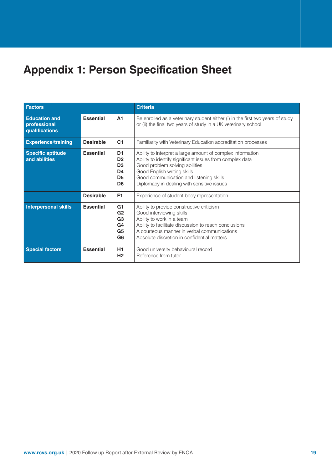# **Appendix 1: Person Specification Sheet**

| <b>Factors</b>                                         |                  |                                                                                                          | <b>Criteria</b>                                                                                                                                                                                                                                                                  |
|--------------------------------------------------------|------------------|----------------------------------------------------------------------------------------------------------|----------------------------------------------------------------------------------------------------------------------------------------------------------------------------------------------------------------------------------------------------------------------------------|
| <b>Education and</b><br>professional<br>qualifications | <b>Essential</b> | A1                                                                                                       | Be enrolled as a veterinary student either (i) in the first two years of study<br>or (ii) the final two years of study in a UK veterinary school                                                                                                                                 |
| <b>Experience/training</b>                             | <b>Desirable</b> | C <sub>1</sub>                                                                                           | Familiarity with Veterinary Education accreditation processes                                                                                                                                                                                                                    |
| <b>Specific aptitude</b><br>and abilities              | <b>Essential</b> | D <sub>1</sub><br>D <sub>2</sub><br>D <sub>3</sub><br>D <sub>4</sub><br>D <sub>5</sub><br>D <sub>6</sub> | Ability to interpret a large amount of complex information<br>Ability to identify significant issues from complex data<br>Good problem solving abilities<br>Good English writing skills<br>Good communication and listening skills<br>Diplomacy in dealing with sensitive issues |
|                                                        | <b>Desirable</b> | F <sub>1</sub>                                                                                           | Experience of student body representation                                                                                                                                                                                                                                        |
| <b>Interpersonal skills</b>                            | <b>Essential</b> | G <sub>1</sub><br>G <sub>2</sub><br>G <sub>3</sub><br>G4<br>G <sub>5</sub><br>G <sub>6</sub>             | Ability to provide constructive criticism<br>Good interviewing skills<br>Ability to work in a team<br>Ability to facilitate discussion to reach conclusions<br>A courteous manner in verbal communications<br>Absolute discretion in confidential matters                        |
| <b>Special factors</b>                                 | <b>Essential</b> | H1<br>H <sub>2</sub>                                                                                     | Good university behavioural record<br>Reference from tutor                                                                                                                                                                                                                       |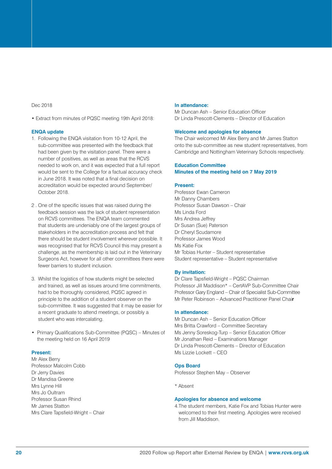Dec 2018

• Extract from minutes of PQSC meeting 19th April 2018:

### **ENQA update**

- 1. Following the ENQA visitation from 10-12 April, the sub-committee was presented with the feedback that had been given by the visitation panel. There were a number of positives, as well as areas that the RCVS needed to work on, and it was expected that a full report would be sent to the College for a factual accuracy check in June 2018. It was noted that a final decision on accreditation would be expected around September/ October 2018.
- 2 . One of the specific issues that was raised during the feedback session was the lack of student representation on RCVS committees. The ENQA team commented that students are undeniably one of the largest groups of stakeholders in the accreditation process and felt that there should be student involvement wherever possible. It was recognised that for RCVS Council this may present a challenge, as the membership is laid out in the Veterinary Surgeons Act, however for all other committees there were fewer barriers to student inclusion.
- 3. Whilst the logistics of how students might be selected and trained, as well as issues around time commitments, had to be thoroughly considered, PQSC agreed in principle to the addition of a student observer on the sub-committee. It was suggested that it may be easier for a recent graduate to attend meetings, or possibly a student who was intercalating.
- Primary Qualifications Sub-Committee (PQSC) Minutes of the meeting held on 16 April 2019

## **Present:**

Mr Alex Berry Professor Malcolm Cobb Dr Jerry Davies Dr Mandisa Greene Mrs Lynne Hill Mrs Jo Oultram Professor Susan Rhind Mr James Statton Mrs Clare Tapsfield-Wright – Chair

### **In attendance:**

Mr Duncan Ash – Senior Education Officer Dr Linda Prescott-Clements – Director of Education

### **Welcome and apologies for absence**

The Chair welcomed Mr Alex Berry and Mr James Statton onto the sub-committee as new student representatives, from Cambridge and Nottingham Veterinary Schools respectively.

### **Education Committee Minutes of the meeting held on 7 May 2019**

### **Present:**

Professor Ewan Cameron Mr Danny Chambers Professor Susan Dawson – Chair Ms Linda Ford Mrs Andrea Jeffrey Dr Susan (Sue) Paterson Dr Cheryl Scudamore Professor James Wood Ms Katie Fox Mr Tobias Hunter – Student representative Student representative – Student representative

## **By invitation:**

Dr Clare Tapsfield-Wright – PQSC Chairman Professor Jill Maddison\* – CertAVP Sub-Committee Chair Professor Gary England – Chair of Specialist Sub-Committee Mr Peter Robinson – Advanced Practitioner Panel Chai**r**

# **In attendance:**

Mr Duncan Ash – Senior Education Officer Mrs Britta Crawford – Committee Secretary Ms Jenny Soreskog-Turp – Senior Education Officer Mr Jonathan Reid – Examinations Manager Dr Linda Prescott-Clements – Director of Education Ms Lizzie Lockett – CEO

#### **Ops Board**

Professor Stephen May – Observer

\* Absent

### **Apologies for absence and welcome**

4.The student members, Katie Fox and Tobias Hunter were welcomed to their first meeting. Apologies were received from Jill Maddison.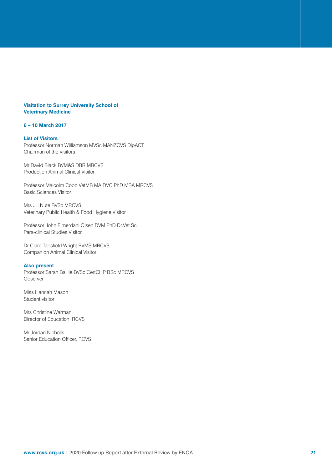## **Visitation to Surrey University School of Veterinary Medicine**

# **6 – 10 March 2017**

## **List of Visitors**

Professor Norman Williamson MVSc MANZCVS DipACT Chairman of the Visitors

Mr David Black BVM&S DBR MRCVS Production Animal Clinical Visitor

Professor Malcolm Cobb VetMB MA DVC PhD MBA MRCVS Basic Sciences Visitor

Mrs Jill Nute BVSc MRCVS Veterinary Public Health & Food Hygiene Visitor

Professor John Elmerdahl Olsen DVM PhD Dr.Vet.Sci Para-clinical Studies Visitor

Dr Clare Tapsfield-Wright BVMS MRCVS Companion Animal Clinical Visitor

## **Also present**

Professor Sarah Baillie BVSc CertCHP BSc MRCVS Observer

Miss Hannah Mason Student visitor

Mrs Christine Warman Director of Education, RCVS

Mr Jordan Nicholls Senior Education Officer, RCVS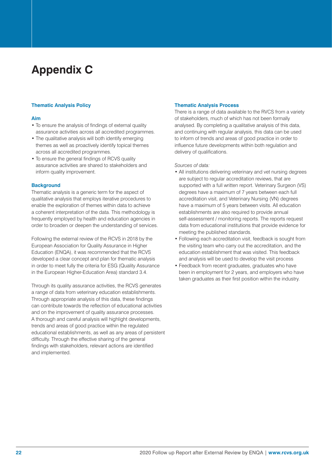# **Appendix C**

### **Thematic Analysis Policy**

### **Aim**

- To ensure the analysis of findings of external quality assurance activities across all accredited programmes.
- The qualitative analysis will both identify emerging themes as well as proactively identify topical themes across all accredited programmes.
- To ensure the general findings of RCVS quality assurance activities are shared to stakeholders and inform quality improvement.

### **Background**

Thematic analysis is a generic term for the aspect of qualitative analysis that employs iterative procedures to enable the exploration of themes within data to achieve a coherent interpretation of the data. This methodology is frequently employed by health and education agencies in order to broaden or deepen the understanding of services.

Following the external review of the RCVS in 2018 by the European Association for Quality Assurance in Higher Education (ENQA), it was recommended that the RCVS developed a clear concept and plan for thematic analysis in order to meet fully the criteria for ESG (Quality Assurance in the European Higher-Education Area) standard 3.4.

Through its quality assurance activities, the RCVS generates a range of data from veterinary education establishments. Through appropriate analysis of this data, these findings can contribute towards the reflection of educational activities and on the improvement of quality assurance processes. A thorough and careful analysis will highlight developments, trends and areas of good practice within the regulated educational establishments, as well as any areas of persistent difficulty. Through the effective sharing of the general findings with stakeholders, relevant actions are identified and implemented.

### **Thematic Analysis Process**

There is a range of data available to the RVCS from a variety of stakeholders, much of which has not been formally analysed. By completing a qualitative analysis of this data, and continuing with regular analysis, this data can be used to inform of trends and areas of good practice in order to influence future developments within both regulation and delivery of qualifications.

*Sources of data:*

- All institutions delivering veterinary and vet nursing degrees are subject to regular accreditation reviews, that are supported with a full written report. Veterinary Surgeon (VS) degrees have a maximum of 7 years between each full accreditation visit, and Veterinary Nursing (VN) degrees have a maximum of 5 years between visits. All education establishments are also required to provide annual self-assessment / monitoring reports. The reports request data from educational institutions that provide evidence for meeting the published standards.
- Following each accreditation visit, feedback is sought from the visiting team who carry out the accreditation, and the education establishment that was visited. This feedback and analysis will be used to develop the visit process
- Feedback from recent graduates, graduates who have been in employment for 2 years, and employers who have taken graduates as their first position within the industry.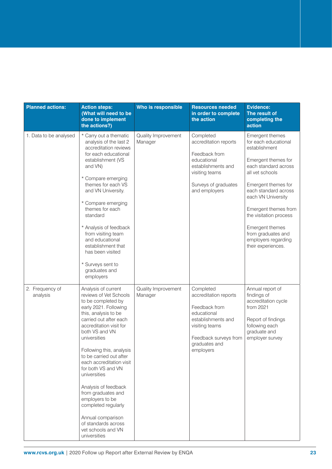| <b>Planned actions:</b>     | <b>Action steps:</b><br>(What will need to be<br>done to implement<br>the actions?)                                                                                                                                                                                                                                                                                                                                                                                                                            | Who is responsible             | <b>Resources needed</b><br>in order to complete<br>the action                                                                                                     | <b>Evidence:</b><br>The result of<br>completing the<br>action                                                                                                                                                                                                                                                                           |
|-----------------------------|----------------------------------------------------------------------------------------------------------------------------------------------------------------------------------------------------------------------------------------------------------------------------------------------------------------------------------------------------------------------------------------------------------------------------------------------------------------------------------------------------------------|--------------------------------|-------------------------------------------------------------------------------------------------------------------------------------------------------------------|-----------------------------------------------------------------------------------------------------------------------------------------------------------------------------------------------------------------------------------------------------------------------------------------------------------------------------------------|
| 1. Data to be analysed      | * Carry out a thematic<br>analysis of the last 2<br>accreditation reviews<br>for each educational<br>establishment (VS<br>and VN)<br>* Compare emerging<br>themes for each VS<br>and VN University.<br>* Compare emerging<br>themes for each<br>standard<br>* Analysis of feedback<br>from visiting team<br>and educational<br>establishment that<br>has been visited<br>* Surveys sent to<br>graduates and<br>employers                                                                                       | Quality Improvement<br>Manager | Completed<br>accreditation reports<br>Feedback from<br>educational<br>establishments and<br>visiting teams<br>Surveys of graduates<br>and employers               | Emergent themes<br>for each educational<br>establishment<br>Emergent themes for<br>each standard across<br>all vet schools<br>Emergent themes for<br>each standard across<br>each VN University<br>Emergent themes from<br>the visitation process<br>Emergent themes<br>from graduates and<br>employers regarding<br>their experiences. |
| 2. Frequency of<br>analysis | Analysis of current<br>reviews of Vet Schools<br>to be completed by<br>early 2021. Following<br>this, analysis to be<br>carried out after each<br>accreditation visit for<br>both VS and VN<br>universities<br>Following this, analysis<br>to be carried out after<br>each accreditation visit<br>for both VS and VN<br>universities<br>Analysis of feedback<br>from graduates and<br>employers to be<br>completed regularly<br>Annual comparison<br>of standards across<br>vet schools and VN<br>universities | Quality Improvement<br>Manager | Completed<br>accreditation reports<br>Feedback from<br>educational<br>establishments and<br>visiting teams<br>Feedback surveys from<br>graduates and<br>employers | Annual report of<br>findings of<br>accreditation cycle<br>from 2021<br>Report of findings<br>following each<br>graduate and<br>employer survey                                                                                                                                                                                          |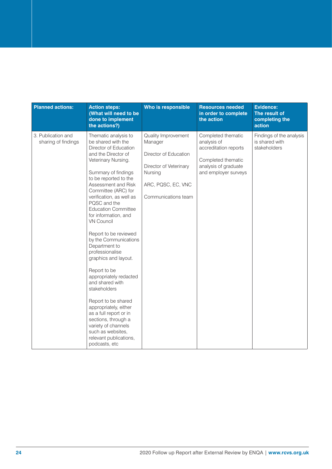| <b>Planned actions:</b>                   | <b>Action steps:</b><br>(What will need to be<br>done to implement<br>the actions?)                                                                                                                                                                                                                                                                                                                                                                                                                                                                                                                                                                                                                                       | Who is responsible                                                                                                                        | <b>Resources needed</b><br>in order to complete<br>the action                                                                    | <b>Evidence:</b><br>The result of<br>completing the<br>action |
|-------------------------------------------|---------------------------------------------------------------------------------------------------------------------------------------------------------------------------------------------------------------------------------------------------------------------------------------------------------------------------------------------------------------------------------------------------------------------------------------------------------------------------------------------------------------------------------------------------------------------------------------------------------------------------------------------------------------------------------------------------------------------------|-------------------------------------------------------------------------------------------------------------------------------------------|----------------------------------------------------------------------------------------------------------------------------------|---------------------------------------------------------------|
| 3. Publication and<br>sharing of findings | Thematic analysis to<br>be shared with the<br>Director of Education<br>and the Director of<br>Veterinary Nursing.<br>Summary of findings<br>to be reported to the<br>Assessment and Risk<br>Committee (ARC) for<br>verification, as well as<br>PQSC and the<br><b>Education Committee</b><br>for information, and<br><b>VN Council</b><br>Report to be reviewed<br>by the Communications<br>Department to<br>professionalise<br>graphics and layout.<br>Report to be<br>appropriately redacted<br>and shared with<br>stakeholders<br>Report to be shared<br>appropriately, either<br>as a full report or in<br>sections, through a<br>variety of channels<br>such as websites,<br>relevant publications,<br>podcasts, etc | Quality Improvement<br>Manager<br>Director of Education<br>Director of Veterinary<br>Nursing<br>ARC, PQSC, EC, VNC<br>Communications team | Completed thematic<br>analysis of<br>accreditation reports<br>Completed thematic<br>analysis of graduate<br>and employer surveys | Findings of the analysis<br>is shared with<br>stakeholders    |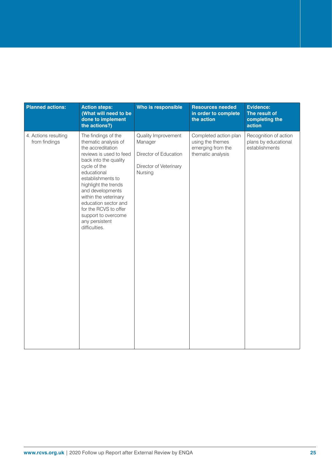| <b>Planned actions:</b>               | <b>Action steps:</b><br>(What will need to be<br>done to implement<br>the actions?)                                                                                                                                                                                                                                                                      | Who is responsible                                                                           | <b>Resources needed</b><br>in order to complete<br>the action                       | <b>Evidence:</b><br>The result of<br>completing the<br>action   |
|---------------------------------------|----------------------------------------------------------------------------------------------------------------------------------------------------------------------------------------------------------------------------------------------------------------------------------------------------------------------------------------------------------|----------------------------------------------------------------------------------------------|-------------------------------------------------------------------------------------|-----------------------------------------------------------------|
| 4. Actions resulting<br>from findings | The findings of the<br>thematic analysis of<br>the accreditation<br>reviews is used to feed<br>back into the quality<br>cycle of the<br>educational<br>establishments to<br>highlight the trends<br>and developments<br>within the veterinary<br>education sector and<br>for the RCVS to offer<br>support to overcome<br>any persistent<br>difficulties. | Quality Improvement<br>Manager<br>Director of Education<br>Director of Veterinary<br>Nursing | Completed action plan<br>using the themes<br>emerging from the<br>thematic analysis | Recognition of action<br>plans by educational<br>establishments |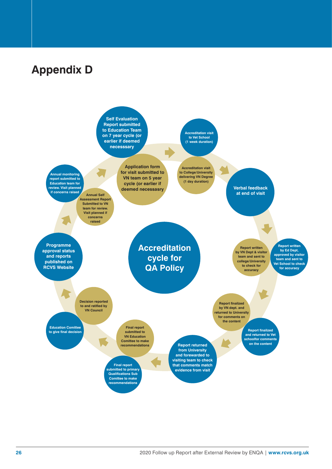# **Appendix D**

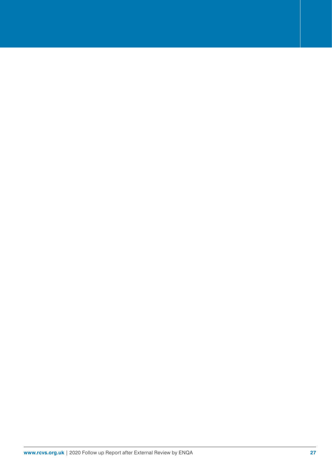**www.rcvs.org.uk** | 2020 Follow up Report after External Review by ENQA **27**